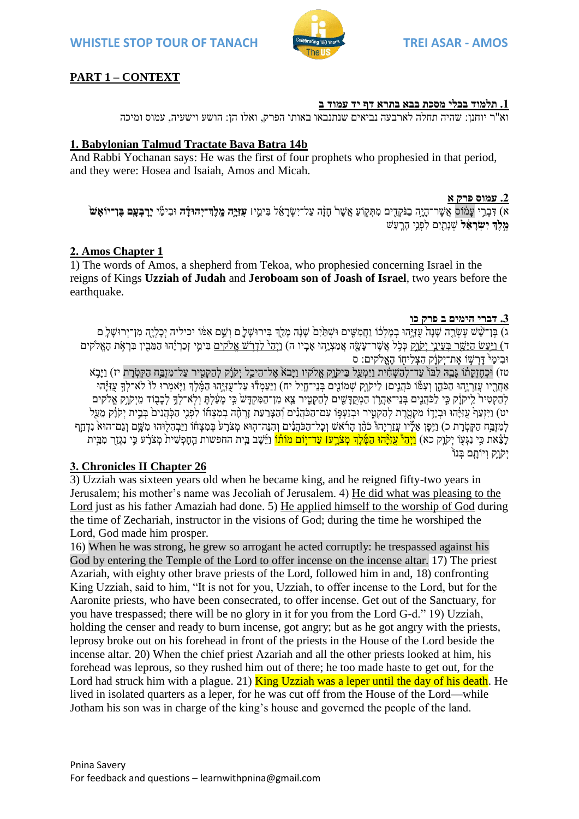

# **PART 1 – CONTEXT**

### **.1 תלמוד בבלי מסכת בבא בתרא דף יד עמוד ב**

וא"ר יוחנן: שהיה תחלה לארבעה נביאים שנתנבאו באותו הפרק, ואלו הן: הושע וישעיה, עמוס ומיכה

## **1. Babylonian Talmud Tractate Bava Batra 14b**

And Rabbi Yochanan says: He was the first of four prophets who prophesied in that period, and they were: Hosea and Isaiah, Amos and Micah.

### **.2 עמוס פרק א**

ֿא) דִּבְרֵי עֲמֹוֹס אֲשֶׁר־הָיָה בַנֹּקְדִים מִתְּקָוֹעַ אֲשֶׁר חָזָה עַל־יִשְׂרַאֵל בְּימֵי**! עִזְיַּה מֵלֵד־יְהוּדָֹה** וּבִימֵּי **יַרְבִעָּם בֵּוְ־יוֹאָשׁ מֵלֵךְ יִשְׂרַאֵ֫ל** שְׁנַתַּיִם לִפְנֵי הַרֵעַשׁ

## **2. Amos Chapter 1**

1) The words of Amos, a shepherd from Tekoa, who prophesied concerning Israel in the reigns of Kings **Uzziah of Judah** and **Jeroboam son of Joash of Israel**, two years before the earthquake.

### **.3 דברי הימים ב פרק כו**

<u>ג) בֶּן־שֶׁשׁ עֲשֶׂרֶה שִׁנָּה עַזְיְהוּ בְמִלְכוֹ וַחֲמִשֵּׁים וּשָׁתַּיָּם</u> שַׂנֹה מַלַדְ בִּירוּשַׁלֵ ם וְשֵׁם אָמּוֹ יכיליה יְכַלִיה מִן־יְרוּשַׁל ַם ד) וַיַּעַשׂ היִשִׁר בִּעֵינֵי יִקֹוַק כָּכָל אֲשֵׁר־עַשַׂה אֲמַצְיָהוּ אַבֵּיו ה) וַיִּה<del>ָ<sup>ל</sup> לִדְרֹשׁ אֲלֹקים</del> בִּימֵי זְכַרְיָּהוּ הַמֵּבְין בִּרְאָת הָאֱלֹקים וּבִימֵ<sup>ּי</sup> דַּרְשָׁוֹ אֶת־יִקוַֹק הָצָלִיחָוֹ הָאֱלֹקים: ס

טז) וּכְחֶזְקַתֿו גָּבֵהּ לִבּוֹ עַד־לְהַשְׁחִית וַיִּמְעַל בַּיקֹוֶק אֱלֹקיו וַיָּבֹאׂ אֶל־הֵיכַל יִקֹוָק לְהַקְטִיר עַל־מִזְבַּח הַקְטְרֵת יז) וַיָּבָא אַחֲרָיו עֲזַרְיָהוּ הַכֹּהֵן וְעִמוּ כֹּהֲנִים! לִיקֹוֶק שְׁמֹוֹנֻים בְּנֵי־חָיִל יח) וַיַּעַמְדוּ עַל־עֻזְיָּהוּ הַמֶּ֫לֶדְ וַיָּאמְרוּ לוֹ לֹא־לְךָּ עֵזִיְּהוּ לְהַקְטִיר לַיקוֹק כֵּי לַכֹּהֲנֵים בְּנֵי־אָהֶרֹן הַמְקִדְשִׁים לְהַקְטִיר צֵא מִן־הַמְקִדְּשׂ כֵּי מעַלְתּ וְלָא־לְדֶ לְכִבְוֹד מֵיִקוִק אֱלֹקים יט) וַיִּזְעַּךֹ עַזְיָּהוּ וּבְיָדוֹ מְקָטֶרֶת לְהַקְטִיר וּבְזַעְפִּו עָם־הַכֹּהֲנִים וְהַצַּרְעַת זַרְחָה בְמִצְחוֹ לִפְנֵי הַכְּהֲנִיםֹ בְּבֵית יִקֹוַ֫ק מֲעַל לְמִזְבָּח הַקְטָרֵת כ) וַיֶּפֵן אֶלָּיו עֲזַרְיַהוֹ כֹהֶן הַרֹּאשׁ וְכָל־הַכֹּהֵנִים וְהִנֵּה־הָוּא מְצֹרַע בִּמְצְחֹו וַיַּבְהָלִוּהוּ מְשֵׁם וְגַם־הוּאֹ נִדְחַף לְצֵ֫את כִּי נִגְעָוֹ יְקֹוֶק כא) <mark>וַיְהִיْ עֵוְיָּהוּ הַמֶּ֫לֶךְ מְצֹרֲעו עַד־יִוֹם מוֹתוֹ</mark> וַיֵּשְׁי בֵית החפשות הַחָפְשִׁית מְצֹרָ֣ע כִּי נִגְזַךְ מִבֵּיִת יִקְוָק וְיוֹתֲם בְּנוֹ

# **3. Chronicles II Chapter 26**

3) Uzziah was sixteen years old when he became king, and he reigned fifty-two years in Jerusalem; his mother's name was Jecoliah of Jerusalem. 4) He did what was pleasing to the Lord just as his father Amaziah had done. 5) He applied himself to the worship of God during the time of Zechariah, instructor in the visions of God; during the time he worshiped the Lord, God made him prosper.

16) When he was strong, he grew so arrogant he acted corruptly: he trespassed against his God by entering the Temple of the Lord to offer incense on the incense altar. 17) The priest Azariah, with eighty other brave priests of the Lord, followed him in and, 18) confronting King Uzziah, said to him, "It is not for you, Uzziah, to offer incense to the Lord, but for the Aaronite priests, who have been consecrated, to offer incense. Get out of the Sanctuary, for you have trespassed; there will be no glory in it for you from the Lord G-d." 19) Uzziah, holding the censer and ready to burn incense, got angry; but as he got angry with the priests, leprosy broke out on his forehead in front of the priests in the House of the Lord beside the incense altar. 20) When the chief priest Azariah and all the other priests looked at him, his forehead was leprous, so they rushed him out of there; he too made haste to get out, for the Lord had struck him with a plague. 21) **King Uzziah was a leper until the day of his death**. He lived in isolated quarters as a leper, for he was cut off from the House of the Lord—while Jotham his son was in charge of the king's house and governed the people of the land.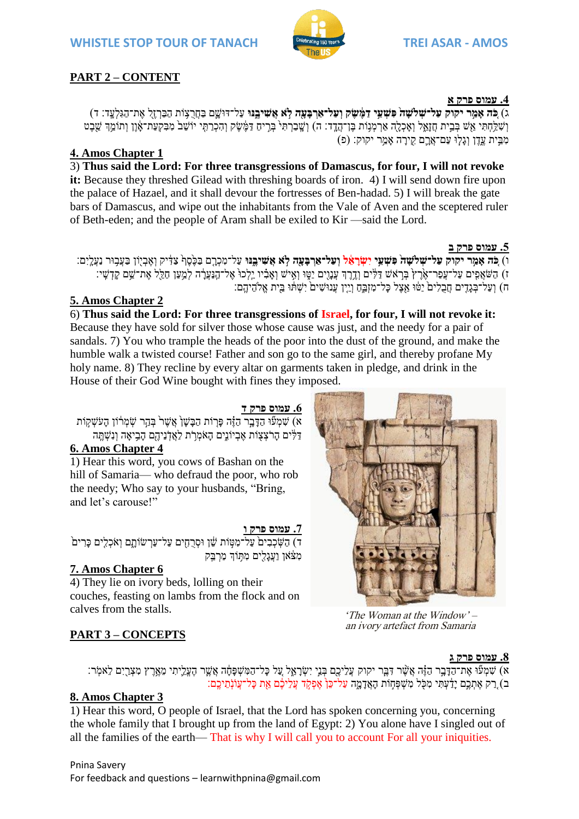

# **PART 2 – CONTENT**

## **.4 עמוס פרק א**

ג) כִּ**ׂה אַמֵּר יקוק עַל־שִׁלשָׁה פִּשְׁעֵי דַמֶּ֫שֵׂק וְעַל־אַרְבַּעָּה לָא אֲשִׁיבֵנּוּ** עַל־דּוּשֵׁם בַחֲרֻצָּוֹת הַבַּרְזֶלְ אֶת־הַגִּלְעֲדָ׃ ד) וְשָׁלֵחָתִּי אֵשׁ בְּבֵית חֲזָאֵל וְאָכְלֻה אַרְמְנִוֹת בֶּן־הֲדֵ֣ד׃ ה) וְשֶׁבַרְתִּי בְּרֶים דַּמֶּשֶׁק וְהִכְרַתִּי יוֹשֵׁב מִבִּקְעַת־אָ֫וֶן וְתוֹמֵ֣דְ שֵׁבֶט מְבֵית עֵׁדֵן וְגַלְוּ עַם־אֲרֵם קִירַה אַמַר יקוק: (פ)

# **4. Amos Chapter 1**

3) **Thus said the Lord: For three transgressions of Damascus, for four, I will not revoke it:** Because they threshed Gilead with threshing boards of iron. 4) I will send down fire upon the palace of Hazael, and it shall devour the fortresses of Ben-hadad. 5) I will break the gate bars of Damascus, and wipe out the inhabitants from the Vale of Aven and the sceptered ruler of Beth-eden; and the people of Aram shall be exiled to Kir —said the Lord.

**.5 עמוס פרק ב**

ו) כֹּה אַמֵר יקוק עַל־שָׁלשַה פִּשְׁעֵי יִשְׂרָאֵל וְעַל־אַרְבָּעַה לָא אֲשִׁיבֵנּוּ עַל־מְכְרֵם בַּכֶּסֶף צַדְּיק וְאֶבְיִוֹן בַּעֲבִוּר נַעֲלֵיְם: ֿז) הַשֹּׂאֲפִים עַל־עֲפַר־אֶׂרֶץ בְּרָאֹשׁ דַּלִּים וְדֶרֶךְ עֲנָוֻים יַטֶּוּ וְאִישׁ וְאָבִ֫יו יֵלְכוּ אֶל־הַנַּעֲרָ֫ה לְמַעַן חַלֵּלְ אֶת־שֵׁם קָדְשָׁי: ְ חָ וְעַל־בְגֵדִים חֲבָלִים ْיַטּׂוּ אֲצֶל כָּל־מִזְבֵּחָ וְיֵין עֲנוּשִׁים יִשְׁתּוּ בֵּיִת אֱלֹהֶיהֱם:

# **5. Amos Chapter 2**

6) **Thus said the Lord: For three transgressions of Israel, for four, I will not revoke it:**  Because they have sold for silver those whose cause was just, and the needy for a pair of sandals. 7) You who trample the heads of the poor into the dust of the ground, and make the humble walk a twisted course! Father and son go to the same girl, and thereby profane My holy name. 8) They recline by every altar on garments taken in pledge, and drink in the House of their God Wine bought with fines they imposed.

# **.6 עמוס פרק ד**

א) שִׁמְעוּ הַדַּבֵר הַזֶּה פַּרְוֹת הַבַּשַׁן אֲשֶׁר בְּהֵר שִׂמְרֹוֹן הַעֹּשָׁקִוֹת ַדַלִּים הַרֹּצְצִוֹת אֶבְיוֹנֵים הָאֹמְרֹת לַאֲדְׂנֵיהֶם הַבֵיאֵה וְנִשְׁתֵּה

# **6. Amos Chapter 4**

1) Hear this word, you cows of Bashan on the hill of Samaria— who defraud the poor, who rob the needy; Who say to your husbands, "Bring, and let's carouse!"

## **.7 עמוס פרק ו**

ֿר) הַשָּׂכְבִים עַל־מִטְּוֹת שֵׁן וּסְרֶחָים עַל־עַרְשׂוֹתֶם וְאֹכְלִים כָּרִים מִצּׁאוְ וַעֲגַלִים מִתְּוֹדְ מַרְבֵּק

# **7. Amos Chapter 6**

4) They lie on ivory beds, lolling on their couches, feasting on lambs from the flock and on calves from the stalls.

'The Woman at the Window'  $$ an ivory artefact from Samaria

# **PART 3 – CONCEPTS**

## **.8 עמוס פרק ג**

ָּה, אֶעֶר הַדָּבֶר הַזֶּה אֲשֶׁר דִּבֶּר יקוק עֲלֵיכֶם בְּנֵי יִשְׂרָאֱל עֲל כָּל־הַמִּשְׁפָּחָ֫ה אֲשֶׁר הֶעֱלֵיתִי מֵאֶרֶץ מִצְרֻיִם לֵאמְר: ב) רַק אֶתְכֶם יַדַּעָתִּי מִכְּל מִשְׁפְּחָוֹת הָאֲדָמֶה עַל־כֵּן אֶפְקֶד עֲלֵיכֶם אֶת כַּל־עֲוֹּנָתֵיכֵם:

## **8. Amos Chapter 3**

1) Hear this word, O people of Israel, that the Lord has spoken concerning you, concerning the whole family that I brought up from the land of Egypt: 2) You alone have I singled out of all the families of the earth— That is why I will call you to account For all your iniquities.

### Pnina Savery For feedback and questions – learnwithpnina@gmail.com